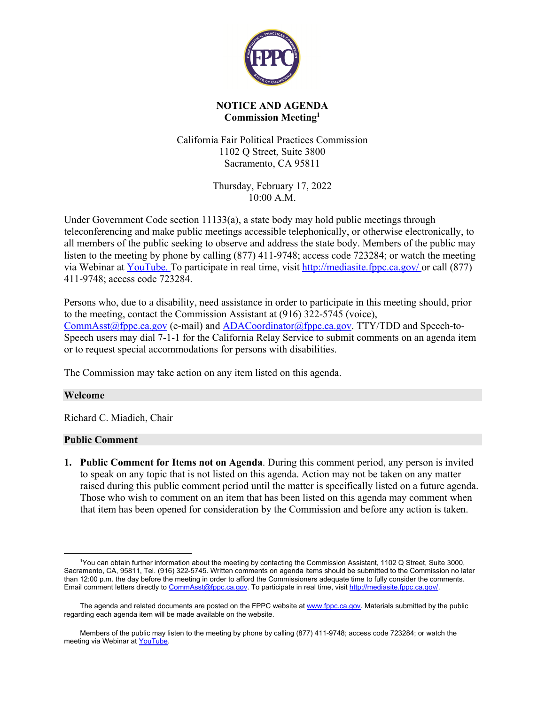

## **NOTICE AND AGENDA Commission Meeting[1](#page-0-0)**

California Fair Political Practices Commission 1102 Q Street, Suite 3800 Sacramento, CA 95811

> Thursday, February 17, 2022 10:00 A.M.

Under Government Code section 11133(a), a state body may hold public meetings through teleconferencing and make public meetings accessible telephonically, or otherwise electronically, to all members of the public seeking to observe and address the state body. Members of the public may listen to the meeting by phone by calling (877) 411-9748; access code 723284; or watch the meeting via Webinar at [YouTube](http://www.youtube.com/user/CAFPPC/live). To participate in real time, visit <http://mediasite.fppc.ca.gov/> or call (877) 411-9748; access code 723284.

Persons who, due to a disability, need assistance in order to participate in this meeting should, prior to the meeting, contact the Commission Assistant at (916) 322-5745 (voice), [CommAsst@fppc.ca.gov](mailto:CommAsst@fppc.ca.gov) (e-mail) and [ADACoordinator@fppc.ca.gov](mailto:ADACoordinator@fppc.ca.gov). TTY/TDD and Speech-to-Speech users may dial 7-1-1 for the California Relay Service to submit comments on an agenda item or to request special accommodations for persons with disabilities.

The Commission may take action on any item listed on this agenda.

## **Welcome**

Richard C. Miadich, Chair

#### **Public Comment**

**1. Public Comment for Items not on Agenda**. During this comment period, any person is invited to speak on any topic that is not listed on this agenda. Action may not be taken on any matter raised during this public comment period until the matter is specifically listed on a future agenda. Those who wish to comment on an item that has been listed on this agenda may comment when that item has been opened for consideration by the Commission and before any action is taken.

<span id="page-0-0"></span> $\overline{a}$ <sup>1</sup>You can obtain further information about the meeting by contacting the Commission Assistant, 1102 Q Street, Suite 3000, Sacramento, CA, 95811, Tel. (916) 322-5745. Written comments on agenda items should be submitted to the Commission no later than 12:00 p.m. the day before the meeting in order to afford the Commissioners adequate time to fully consider the comments. Email comment letters directly to [CommAsst@fppc.ca.gov.](mailto:CommAsst@fppc.ca.gov) To participate in real time, visit <http://mediasite.fppc.ca.gov/>.

The agenda and related documents are posted on the FPPC website at [www.fppc.ca.gov](http://www.fppc.ca.gov/). Materials submitted by the public regarding each agenda item will be made available on the website.

Members of the public may listen to the meeting by phone by calling (877) 411-9748; access code 723284; or watch the meeting via Webinar at [YouTube](http://www.youtube.com/user/CAFPPC/live).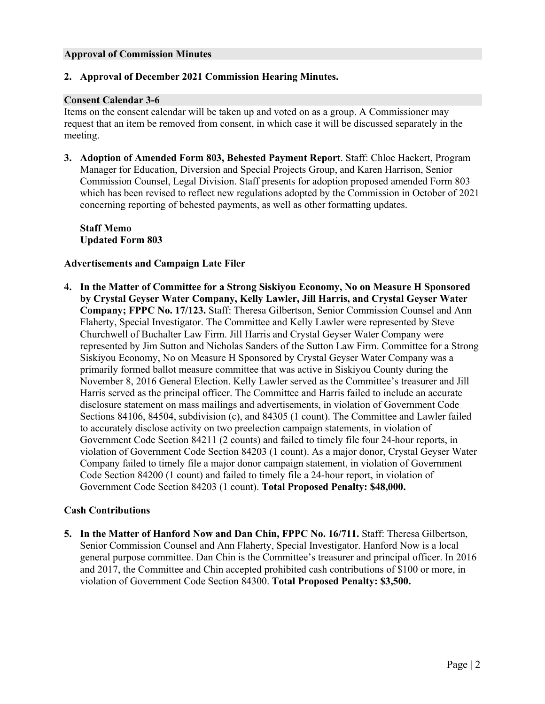### **Approval of Commission Minutes**

### **2. Approval of December 2021 Commission Hearing Minutes.**

#### **Consent Calendar 3-6**

Items on the consent calendar will be taken up and voted on as a group. A Commissioner may request that an item be removed from consent, in which case it will be discussed separately in the meeting.

**3. Adoption of Amended Form 803, Behested Payment Report**. Staff: Chloe Hackert, Program Manager for Education, Diversion and Special Projects Group, and Karen Harrison, Senior Commission Counsel, Legal Division. Staff presents for adoption proposed amended Form 803 which has been revised to reflect new regulations adopted by the Commission in October of 2021 concerning reporting of behested payments, as well as other formatting updates.

**Staff Memo Updated Form 803**

### **Advertisements and Campaign Late Filer**

**4. In the Matter of Committee for a Strong Siskiyou Economy, No on Measure H Sponsored by Crystal Geyser Water Company, Kelly Lawler, Jill Harris, and Crystal Geyser Water Company; FPPC No. 17/123.** Staff: Theresa Gilbertson, Senior Commission Counsel and Ann Flaherty, Special Investigator. The Committee and Kelly Lawler were represented by Steve Churchwell of Buchalter Law Firm. Jill Harris and Crystal Geyser Water Company were represented by Jim Sutton and Nicholas Sanders of the Sutton Law Firm. Committee for a Strong Siskiyou Economy, No on Measure H Sponsored by Crystal Geyser Water Company was a primarily formed ballot measure committee that was active in Siskiyou County during the November 8, 2016 General Election. Kelly Lawler served as the Committee's treasurer and Jill Harris served as the principal officer. The Committee and Harris failed to include an accurate disclosure statement on mass mailings and advertisements, in violation of Government Code Sections 84106, 84504, subdivision (c), and 84305 (1 count). The Committee and Lawler failed to accurately disclose activity on two preelection campaign statements, in violation of Government Code Section 84211 (2 counts) and failed to timely file four 24-hour reports, in violation of Government Code Section 84203 (1 count). As a major donor, Crystal Geyser Water Company failed to timely file a major donor campaign statement, in violation of Government Code Section 84200 (1 count) and failed to timely file a 24-hour report, in violation of Government Code Section 84203 (1 count). **Total Proposed Penalty: \$48,000.**

## **Cash Contributions**

**5. In the Matter of Hanford Now and Dan Chin, FPPC No. 16/711.** Staff: Theresa Gilbertson, Senior Commission Counsel and Ann Flaherty, Special Investigator. Hanford Now is a local general purpose committee. Dan Chin is the Committee's treasurer and principal officer. In 2016 and 2017, the Committee and Chin accepted prohibited cash contributions of \$100 or more, in violation of Government Code Section 84300. **Total Proposed Penalty: \$3,500.**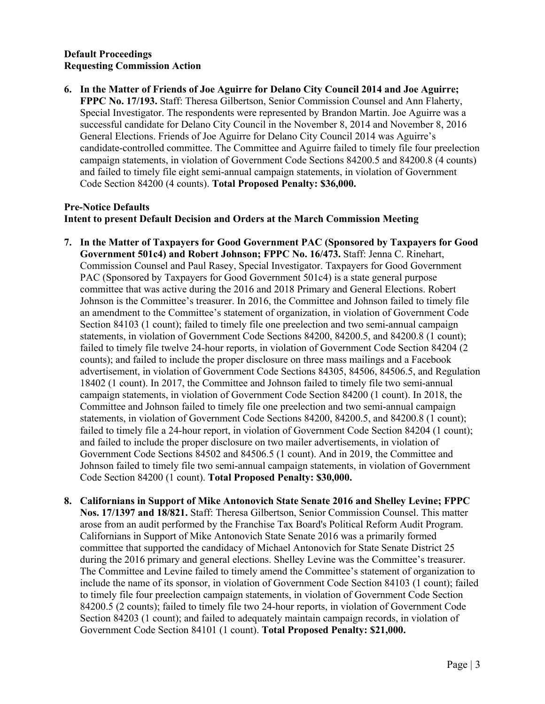# **Default Proceedings Requesting Commission Action**

**6. In the Matter of Friends of Joe Aguirre for Delano City Council 2014 and Joe Aguirre; FPPC No. 17/193.** Staff: Theresa Gilbertson, Senior Commission Counsel and Ann Flaherty, Special Investigator. The respondents were represented by Brandon Martin. Joe Aguirre was a successful candidate for Delano City Council in the November 8, 2014 and November 8, 2016 General Elections. Friends of Joe Aguirre for Delano City Council 2014 was Aguirre's candidate-controlled committee. The Committee and Aguirre failed to timely file four preelection campaign statements, in violation of Government Code Sections 84200.5 and 84200.8 (4 counts) and failed to timely file eight semi-annual campaign statements, in violation of Government Code Section 84200 (4 counts). **Total Proposed Penalty: \$36,000.**

### **Pre-Notice Defaults Intent to present Default Decision and Orders at the March Commission Meeting**

- **7. In the Matter of Taxpayers for Good Government PAC (Sponsored by Taxpayers for Good Government 501c4) and Robert Johnson; FPPC No. 16/473.** Staff: Jenna C. Rinehart, Commission Counsel and Paul Rasey, Special Investigator. Taxpayers for Good Government PAC (Sponsored by Taxpayers for Good Government 501c4) is a state general purpose committee that was active during the 2016 and 2018 Primary and General Elections. Robert Johnson is the Committee's treasurer. In 2016, the Committee and Johnson failed to timely file an amendment to the Committee's statement of organization, in violation of Government Code Section 84103 (1 count); failed to timely file one preelection and two semi-annual campaign statements, in violation of Government Code Sections 84200, 84200.5, and 84200.8 (1 count); failed to timely file twelve 24-hour reports, in violation of Government Code Section 84204 (2 counts); and failed to include the proper disclosure on three mass mailings and a Facebook advertisement, in violation of Government Code Sections 84305, 84506, 84506.5, and Regulation 18402 (1 count). In 2017, the Committee and Johnson failed to timely file two semi-annual campaign statements, in violation of Government Code Section 84200 (1 count). In 2018, the Committee and Johnson failed to timely file one preelection and two semi-annual campaign statements, in violation of Government Code Sections 84200, 84200.5, and 84200.8 (1 count); failed to timely file a 24-hour report, in violation of Government Code Section 84204 (1 count); and failed to include the proper disclosure on two mailer advertisements, in violation of Government Code Sections 84502 and 84506.5 (1 count). And in 2019, the Committee and Johnson failed to timely file two semi-annual campaign statements, in violation of Government Code Section 84200 (1 count). **Total Proposed Penalty: \$30,000.**
- **8. Californians in Support of Mike Antonovich State Senate 2016 and Shelley Levine; FPPC Nos. 17/1397 and 18/821.** Staff: Theresa Gilbertson, Senior Commission Counsel. This matter arose from an audit performed by the Franchise Tax Board's Political Reform Audit Program. Californians in Support of Mike Antonovich State Senate 2016 was a primarily formed committee that supported the candidacy of Michael Antonovich for State Senate District 25 during the 2016 primary and general elections. Shelley Levine was the Committee's treasurer. The Committee and Levine failed to timely amend the Committee's statement of organization to include the name of its sponsor, in violation of Government Code Section 84103 (1 count); failed to timely file four preelection campaign statements, in violation of Government Code Section 84200.5 (2 counts); failed to timely file two 24-hour reports, in violation of Government Code Section 84203 (1 count); and failed to adequately maintain campaign records, in violation of Government Code Section 84101 (1 count). **Total Proposed Penalty: \$21,000.**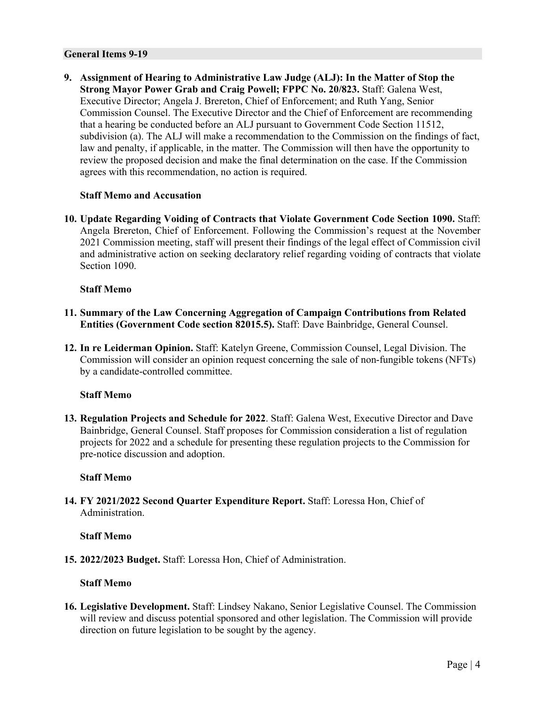#### **General Items 9-19**

**9. Assignment of Hearing to Administrative Law Judge (ALJ): In the Matter of Stop the Strong Mayor Power Grab and Craig Powell; FPPC No. 20/823.** Staff: Galena West, Executive Director; Angela J. Brereton, Chief of Enforcement; and Ruth Yang, Senior Commission Counsel. The Executive Director and the Chief of Enforcement are recommending that a hearing be conducted before an ALJ pursuant to Government Code Section 11512, subdivision (a). The ALJ will make a recommendation to the Commission on the findings of fact, law and penalty, if applicable, in the matter. The Commission will then have the opportunity to review the proposed decision and make the final determination on the case. If the Commission agrees with this recommendation, no action is required.

#### **Staff Memo and Accusation**

**10. Update Regarding Voiding of Contracts that Violate Government Code Section 1090.** Staff: Angela Brereton, Chief of Enforcement. Following the Commission's request at the November 2021 Commission meeting, staff will present their findings of the legal effect of Commission civil and administrative action on seeking declaratory relief regarding voiding of contracts that violate Section 1090.

#### **Staff Memo**

- **11. Summary of the Law Concerning Aggregation of Campaign Contributions from Related Entities (Government Code section 82015.5).** Staff: Dave Bainbridge, General Counsel.
- **12. In re Leiderman Opinion.** Staff: Katelyn Greene, Commission Counsel, Legal Division. The Commission will consider an opinion request concerning the sale of non-fungible tokens (NFTs) by a candidate-controlled committee.

#### **Staff Memo**

**13. Regulation Projects and Schedule for 2022**. Staff: Galena West, Executive Director and Dave Bainbridge, General Counsel. Staff proposes for Commission consideration a list of regulation projects for 2022 and a schedule for presenting these regulation projects to the Commission for pre-notice discussion and adoption.

#### **Staff Memo**

**14. FY 2021/2022 Second Quarter Expenditure Report.** Staff: Loressa Hon, Chief of Administration.

#### **Staff Memo**

**15. 2022/2023 Budget.** Staff: Loressa Hon, Chief of Administration.

#### **Staff Memo**

**16. Legislative Development.** Staff: Lindsey Nakano, Senior Legislative Counsel. The Commission will review and discuss potential sponsored and other legislation. The Commission will provide direction on future legislation to be sought by the agency.